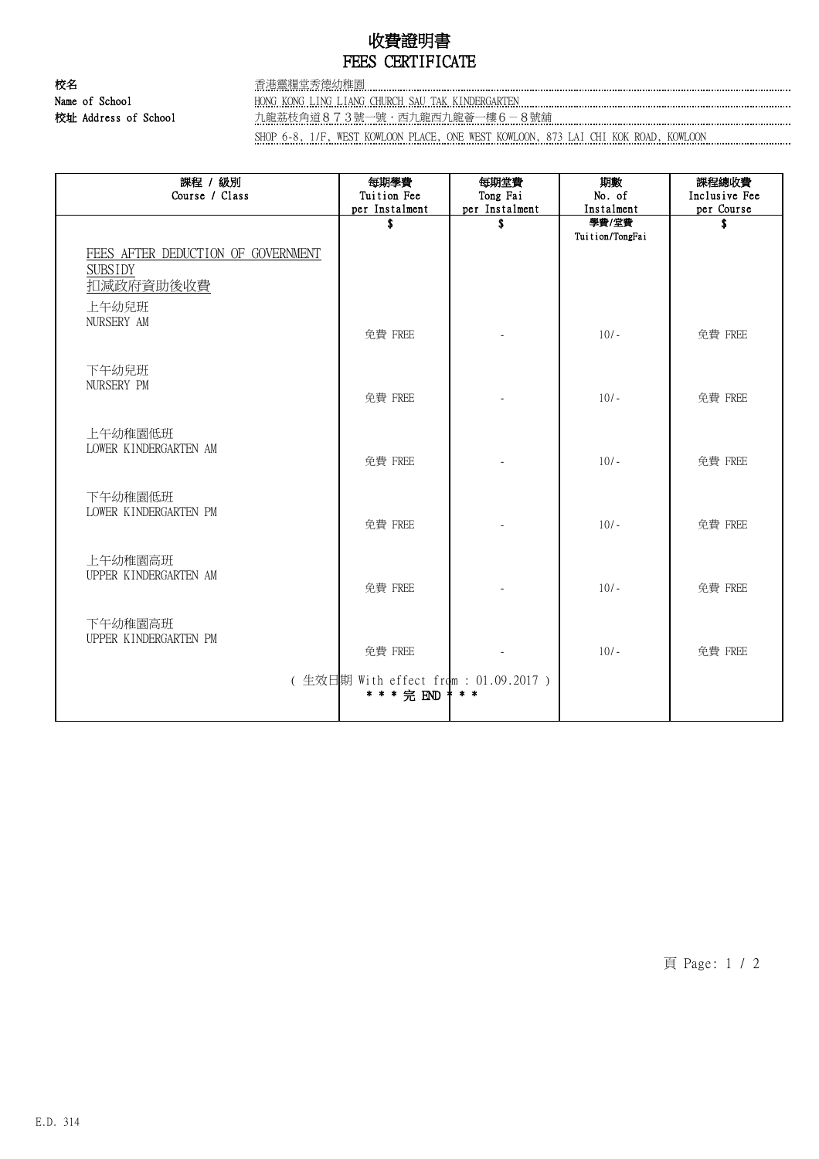# 收費證明書 FEES CERTIFICATE

校名 香港靈糧堂秀德幼稚園 Name of School HONG KONG LING LIANG CHURCH SAU TAK KINDERGARTEN

校址 Address of School 九龍荔枝角道873號一號.西九龍西九龍薈一樓6-8號舖

SHOP 6-8, 1/F, WEST KOWLOON PLACE, ONE WEST KOWLOON, 873 LAI CHI KOK ROAD, KOWLOON

| 課程 / 級別<br>Course / Class                                     | 每期學費<br>Tuition Fee<br>per Instalment | 每期堂費<br>Tong Fai<br>per Instalment | 期數<br>No. of<br>Instalment | 課程總收費<br>Inclusive Fee<br>per Course |
|---------------------------------------------------------------|---------------------------------------|------------------------------------|----------------------------|--------------------------------------|
|                                                               | \$                                    | \$                                 | 學費/堂費<br>Tuition/TongFai   |                                      |
| FEES AFTER DEDUCTION OF GOVERNMENT<br><b>SUBSIDY</b>          |                                       |                                    |                            |                                      |
| 扣減政府資助後收費                                                     |                                       |                                    |                            |                                      |
| 上午幼兒班<br>NURSERY AM                                           |                                       |                                    |                            |                                      |
|                                                               | 免費 FREE                               |                                    | $10/-$                     | 免費 FREE                              |
| 下午幼兒班<br>NURSERY PM                                           |                                       |                                    |                            |                                      |
|                                                               | 免費 FREE                               |                                    | $10/-$                     | 免費 FREE                              |
| 上午幼稚園低班<br>LOWER KINDERGARTEN AM                              |                                       |                                    |                            |                                      |
|                                                               | 免費 FREE                               |                                    | $10/-$                     | 免費 FREE                              |
| 下午幼稚園低班<br>LOWER KINDERGARTEN PM                              |                                       |                                    |                            |                                      |
|                                                               | 免費 FREE                               |                                    | $10/-$                     | 免費 FREE                              |
| 上午幼稚園高班                                                       |                                       |                                    |                            |                                      |
| UPPER KINDERGARTEN AM                                         | 免費 FREE                               |                                    | $10/-$                     | 免費 FREE                              |
| 下午幼稚園高班                                                       |                                       |                                    |                            |                                      |
| UPPER KINDERGARTEN PM                                         | 免費 FREE                               |                                    | $10/-$                     | 免費 FREE                              |
| (生效日期 With effect from : 01.09.2017 )<br>* * * 完 END<br>$* *$ |                                       |                                    |                            |                                      |

頁 Page: 1 / 2